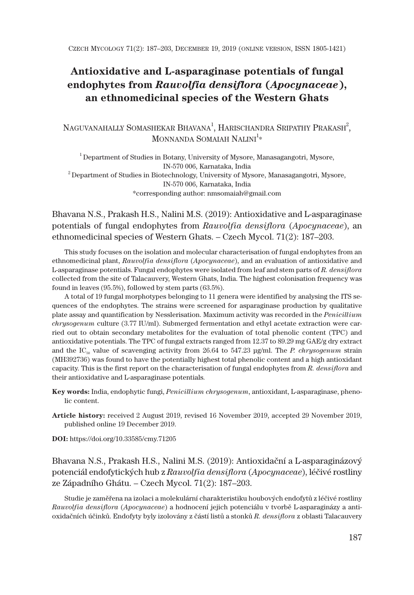# **Antioxidative and L-asparaginase potentials of fungal endophytes from** *Rauvolfia densiflora* **(***Apocynaceae***), an ethnomedicinal species of the Western Ghats**

# NAGUVANAHALLY SOMASHEKAR BHAVANA<sup>1</sup>, HARISCHANDRA SRIPATHY PRAKASH<sup>2</sup>, MONNANDA SOMAIAH  $\mathrm{NALINI}^{\mathbb{1}_{\ast}}$

<sup>1</sup> Department of Studies in Botany, University of Mysore, Manasagangotri, Mysore, IN-570 006, Karnataka, India  $^2$ Department of Studies in Biotechnology, University of Mysore, Manasagangotri, Mysore, IN-570 006, Karnataka, India \*corresponding author: nmsomaiah@gmail.com

Bhavana N.S., Prakash H.S., Nalini M.S. (2019): Antioxidative and L-asparaginase potentials of fungal endophytes from *Rauvolfia densiflora* (*Apocynaceae*), an ethnomedicinal species of Western Ghats. – Czech Mycol. 71(2): 187–203.

This study focuses on the isolation and molecular characterisation of fungal endophytes from an ethnomedicinal plant, *Rauvolfia densiflora* (*Apocynaceae*), and an evaluation of antioxidative and L-asparaginase potentials. Fungal endophytes were isolated from leaf and stem parts of *R. densiflora* collected from the site of Talacauvery, Western Ghats, India. The highest colonisation frequency was found in leaves (95.5%), followed by stem parts (63.5%).

A total of 19 fungal morphotypes belonging to 11 genera were identified by analysing the ITS sequences of the endophytes. The strains were screened for asparaginase production by qualitative plate assay and quantification by Nesslerisation. Maximum activity was recorded in the *Penicillium chrysogenum* culture (3.77 IU/ml). Submerged fermentation and ethyl acetate extraction were carried out to obtain secondary metabolites for the evaluation of total phenolic content (TPC) and antioxidative potentials. The TPC of fungal extracts ranged from 12.37 to 89.29 mg GAE/g dry extract and the IC<sub>50</sub> value of scavenging activity from 26.64 to 547.23 μg/ml. The *P. chrysogenum* strain (MH392736) was found to have the potentially highest total phenolic content and a high antioxidant capacity. This is the first report on the characterisation of fungal endophytes from *R. densiflora* and their antioxidative and L-asparaginase potentials*.*

- **Key words:** India, endophytic fungi, *Penicillium chrysogenum*, antioxidant, L-asparaginase, phenolic content.
- **Article history:** received 2 August 2019, revised 16 November 2019, accepted 29 November 2019, published online 19 December 2019.

**DOI:** https://doi.org/10.33585/cmy.71205

# Bhavana N.S., Prakash H.S., Nalini M.S. (2019): Antioxidační a L-asparaginázový potenciál endofytických hub z *Rauvolfia densiflora* (*Apocynaceae*), léčivé rostliny ze Západního Ghátu. – Czech Mycol. 71(2): 187–203.

Studie je zaměřena na izolaci a molekulární charakteristiku houbových endofytů z léčivé rostliny *Rauvolfia densiflora* (*Apocynaceae*) a hodnocení jejich potenciálu v tvorbě L-asparaginázy a antioxidačních účinků. Endofyty byly izolovány z částí listů a stonků *R. densiflora* z oblasti Talacauvery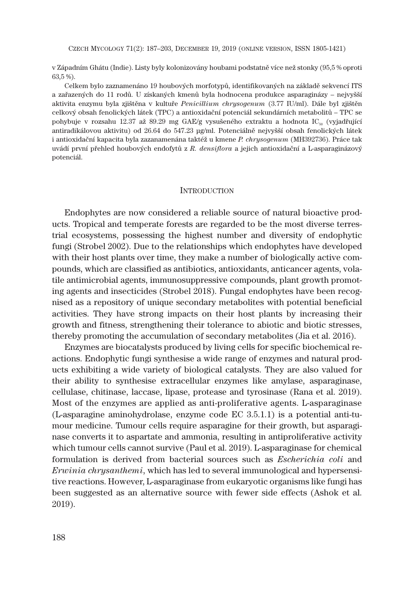v Západním Ghátu (Indie). Listy byly kolonizovány houbami podstatně více než stonky (95,5 % oproti 63,5 %).

Celkem bylo zaznamenáno 19 houbových morfotypů, identifikovaných na základě sekvencí ITS a zařazených do 11 rodů. U získaných kmenů byla hodnocena produkce asparaginázy – nejvyšší aktivita enzymu byla zjištěna v kultuře *Penicillium chrysogenum* (3.77 IU/ml). Dále byl zjištěn celkový obsah fenolických látek (TPC) a antioxidační potenciál sekundárních metabolitů – TPC se pohybuje v rozsahu 12.37 až 89.29 mg GAE/g vysušeného extraktu a hodnota IC<sub>50</sub> (vyjadřující antiradikálovou aktivitu) od 26.64 do 547.23 μg/ml. Potenciálně nejvyšší obsah fenolických látek i antioxidační kapacita byla zazanamenána taktéž u kmene *P. chrysogenum* (MH392736). Práce tak uvádí první přehled houbových endofytů z *R. densiflora* a jejich antioxidační a L-asparaginázový potenciál.

### **INTRODUCTION**

Endophytes are now considered a reliable source of natural bioactive products. Tropical and temperate forests are regarded to be the most diverse terrestrial ecosystems, possessing the highest number and diversity of endophytic fungi (Strobel 2002). Due to the relationships which endophytes have developed with their host plants over time, they make a number of biologically active compounds, which are classified as antibiotics, antioxidants, anticancer agents, volatile antimicrobial agents, immunosuppressive compounds, plant growth promoting agents and insecticides (Strobel 2018). Fungal endophytes have been recognised as a repository of unique secondary metabolites with potential beneficial activities. They have strong impacts on their host plants by increasing their growth and fitness, strengthening their tolerance to abiotic and biotic stresses, thereby promoting the accumulation of secondary metabolites (Jia et al. 2016).

Enzymes are biocatalysts produced by living cells for specific biochemical reactions. Endophytic fungi synthesise a wide range of enzymes and natural products exhibiting a wide variety of biological catalysts. They are also valued for their ability to synthesise extracellular enzymes like amylase, asparaginase, cellulase, chitinase, laccase, lipase, protease and tyrosinase (Rana et al. 2019). Most of the enzymes are applied as anti-proliferative agents. L-asparaginase (L-asparagine aminohydrolase, enzyme code EC 3.5.1.1) is a potential anti-tumour medicine. Tumour cells require asparagine for their growth, but asparaginase converts it to aspartate and ammonia, resulting in antiproliferative activity which tumour cells cannot survive (Paul et al. 2019). L-asparaginase for chemical formulation is derived from bacterial sources such as *Escherichia coli* and *Erwinia chrysanthemi*, which has led to several immunological and hypersensitive reactions. However, L-asparaginase from eukaryotic organisms like fungi has been suggested as an alternative source with fewer side effects (Ashok et al. 2019).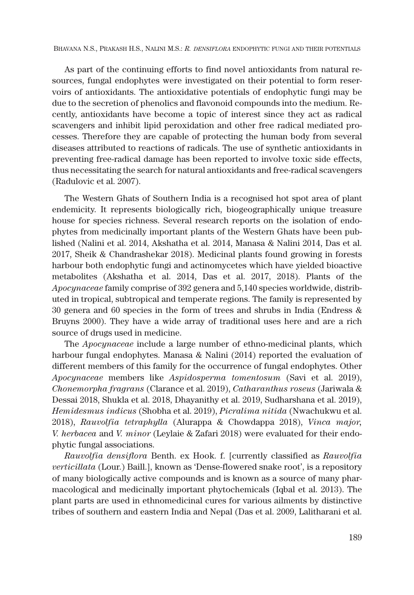As part of the continuing efforts to find novel antioxidants from natural resources, fungal endophytes were investigated on their potential to form reservoirs of antioxidants. The antioxidative potentials of endophytic fungi may be due to the secretion of phenolics and flavonoid compounds into the medium. Recently, antioxidants have become a topic of interest since they act as radical scavengers and inhibit lipid peroxidation and other free radical mediated processes. Therefore they are capable of protecting the human body from several diseases attributed to reactions of radicals. The use of synthetic antioxidants in preventing free-radical damage has been reported to involve toxic side effects, thus necessitating the search for natural antioxidants and free-radical scavengers (Radulovic et al. 2007).

The Western Ghats of Southern India is a recognised hot spot area of plant endemicity. It represents biologically rich, biogeographically unique treasure house for species richness. Several research reports on the isolation of endophytes from medicinally important plants of the Western Ghats have been published (Nalini et al. 2014, Akshatha et al. 2014, Manasa & Nalini 2014, Das et al. 2017, Sheik & Chandrashekar 2018). Medicinal plants found growing in forests harbour both endophytic fungi and actinomycetes which have yielded bioactive metabolites (Akshatha et al. 2014, Das et al. 2017, 2018). Plants of the *Apocynaceae* family comprise of 392 genera and 5,140 species worldwide, distributed in tropical, subtropical and temperate regions. The family is represented by 30 genera and 60 species in the form of trees and shrubs in India (Endress & Bruyns 2000). They have a wide array of traditional uses here and are a rich source of drugs used in medicine.

The *Apocynaceae* include a large number of ethno-medicinal plants, which harbour fungal endophytes. Manasa & Nalini (2014) reported the evaluation of different members of this family for the occurrence of fungal endophytes. Other *Apocynaceae* members like *Aspidosperma tomentosum* (Savi et al. 2019), *Chonemorpha fragrans* (Clarance et al. 2019), *Catharanthus roseus* (Jariwala & Dessai 2018, Shukla et al. 2018, Dhayanithy et al. 2019, Sudharshana et al. 2019), *Hemidesmus indicus* (Shobha et al. 2019), *Picralima nitida* (Nwachukwu et al. 2018), *Rauvolfia tetraphylla* (Alurappa & Chowdappa 2018), *Vinca major, V. herbacea* and *V. minor* (Leylaie & Zafari 2018) were evaluated for their endophytic fungal associations.

*Rauvolfia densiflora* Benth. ex Hook. f. [currently classified as *Rauvolfia verticillata* (Lour.) Baill.], known as 'Dense-flowered snake root', is a repository of many biologically active compounds and is known as a source of many pharmacological and medicinally important phytochemicals (Iqbal et al. 2013). The plant parts are used in ethnomedicinal cures for various ailments by distinctive tribes of southern and eastern India and Nepal (Das et al. 2009, Lalitharani et al.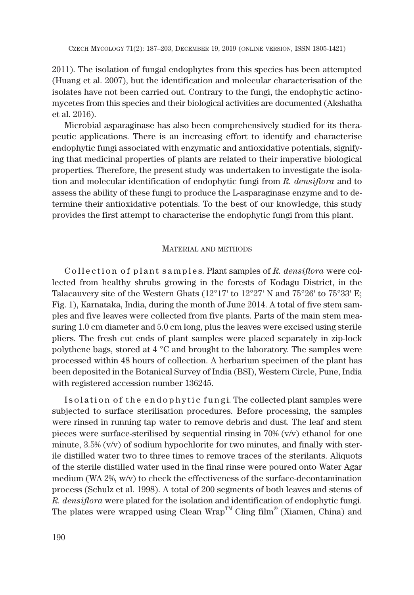2011). The isolation of fungal endophytes from this species has been attempted (Huang et al. 2007), but the identification and molecular characterisation of the isolates have not been carried out. Contrary to the fungi, the endophytic actinomycetes from this species and their biological activities are documented (Akshatha et al. 2016).

Microbial asparaginase has also been comprehensively studied for its therapeutic applications. There is an increasing effort to identify and characterise endophytic fungi associated with enzymatic and antioxidative potentials, signifying that medicinal properties of plants are related to their imperative biological properties. Therefore, the present study was undertaken to investigate the isolation and molecular identification of endophytic fungi from *R. densiflora* and to assess the ability of these fungi to produce the L-asparaginase enzyme and to determine their antioxidative potentials. To the best of our knowledge, this study provides the first attempt to characterise the endophytic fungi from this plant.

### MATERIAL AND METHODS

Collection of plant samples. Plant samples of *R. densiflora* were collected from healthy shrubs growing in the forests of Kodagu District, in the Talacauvery site of the Western Ghats ( $12^{\circ}17'$  to  $12^{\circ}27'$  N and  $75^{\circ}26'$  to  $75^{\circ}33'$  E; Fig. 1), Karnataka, India, during the month of June 2014. A total of five stem samples and five leaves were collected from five plants. Parts of the main stem measuring 1.0 cm diameter and 5.0 cm long, plus the leaves were excised using sterile pliers. The fresh cut ends of plant samples were placed separately in zip-lock polythene bags, stored at 4 °C and brought to the laboratory. The samples were processed within 48 hours of collection. A herbarium specimen of the plant has been deposited in the Botanical Survey of India (BSI), Western Circle, Pune, India with registered accession number 136245.

Isolation of the endophytic fungi. The collected plant samples were subjected to surface sterilisation procedures. Before processing, the samples were rinsed in running tap water to remove debris and dust. The leaf and stem pieces were surface-sterilised by sequential rinsing in 70% (v/v) ethanol for one minute,  $3.5\%$  (v/v) of sodium hypochlorite for two minutes, and finally with sterile distilled water two to three times to remove traces of the sterilants. Aliquots of the sterile distilled water used in the final rinse were poured onto Water Agar medium (WA 2%, w/v) to check the effectiveness of the surface-decontamination process (Schulz et al. 1998). A total of 200 segments of both leaves and stems of *R. densiflora* were plated for the isolation and identification of endophytic fungi. The plates were wrapped using Clean Wrap<sup>TM</sup> Cling film<sup>®</sup> (Xiamen, China) and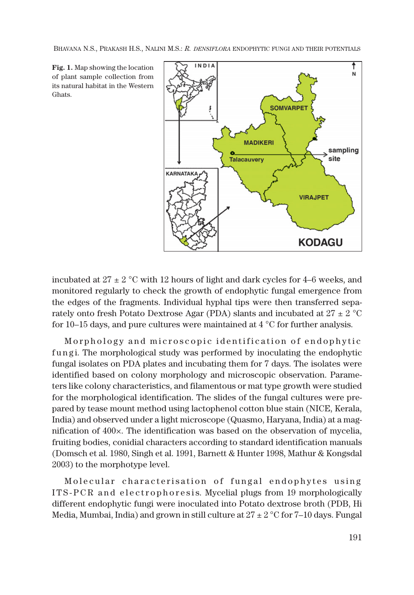**Fig. 1.** Map showing the location of plant sample collection from its natural habitat in the Western Ghats.



incubated at  $27 \pm 2$  °C with 12 hours of light and dark cycles for 4–6 weeks, and monitored regularly to check the growth of endophytic fungal emergence from the edges of the fragments. Individual hyphal tips were then transferred separately onto fresh Potato Dextrose Agar (PDA) slants and incubated at  $27 \pm 2$  °C for 10–15 days, and pure cultures were maintained at 4 °C for further analysis.

Morphology and microscopic identification of endophytic fungi. The morphological study was performed by inoculating the endophytic fungal isolates on PDA plates and incubating them for 7 days. The isolates were identified based on colony morphology and microscopic observation. Parameters like colony characteristics, and filamentous or mat type growth were studied for the morphological identification. The slides of the fungal cultures were prepared by tease mount method using lactophenol cotton blue stain (NICE, Kerala, India) and observed under a light microscope (Quasmo, Haryana, India) at a magnification of 400×. The identification was based on the observation of mycelia, fruiting bodies, conidial characters according to standard identification manuals (Domsch et al. 1980, Singh et al. 1991, Barnett & Hunter 1998, Mathur & Kongsdal 2003) to the morphotype level.

Molecular characterisation of fungal endophytes using ITS-PCR and electrophoresis. Mycelial plugs from 19 morphologically different endophytic fungi were inoculated into Potato dextrose broth (PDB, Hi Media, Mumbai, India) and grown in still culture at  $27 \pm 2$  °C for 7–10 days. Fungal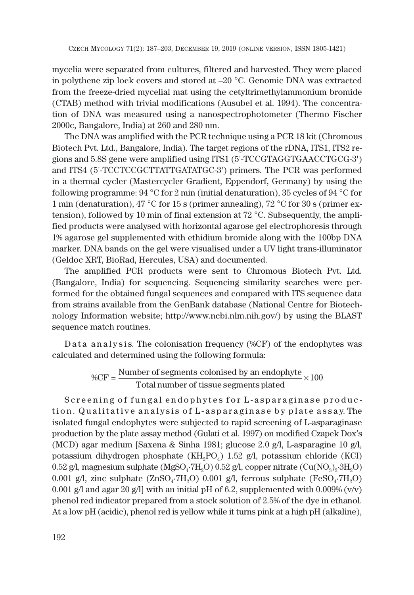mycelia were separated from cultures, filtered and harvested. They were placed in polythene zip lock covers and stored at –20 °C. Genomic DNA was extracted from the freeze-dried mycelial mat using the cetyltrimethylammonium bromide (CTAB) method with trivial modifications (Ausubel et al. 1994). The concentration of DNA was measured using a nanospectrophotometer (Thermo Fischer 2000c, Bangalore, India) at 260 and 280 nm.

The DNA was amplified with the PCR technique using a PCR 18 kit (Chromous Biotech Pvt. Ltd., Bangalore, India). The target regions of the rDNA, ITS1, ITS2 regions and 5.8S gene were amplified using ITS1 (5'-TCCGTAGGTGAACCTGCG-3') and ITS4 (5'-TCCTCCGCTTATTGATATGC-3') primers. The PCR was performed in a thermal cycler (Mastercycler Gradient, Eppendorf, Germany) by using the following programme: 94 °C for 2 min (initial denaturation), 35 cycles of 94 °C for 1 min (denaturation), 47 °C for 15 s (primer annealing), 72 °C for 30 s (primer extension), followed by 10 min of final extension at 72 °C. Subsequently, the amplified products were analysed with horizontal agarose gel electrophoresis through 1% agarose gel supplemented with ethidium bromide along with the 100bp DNA marker. DNA bands on the gel were visualised under a UV light trans-illuminator (Geldoc XRT, BioRad, Hercules, USA) and documented.

The amplified PCR products were sent to Chromous Biotech Pvt. Ltd. (Bangalore, India) for sequencing. Sequencing similarity searches were performed for the obtained fungal sequences and compared with ITS sequence data from strains available from the GenBank database (National Centre for Biotechnology Information website; http://www.ncbi.nlm.nih.gov/) by using the BLAST sequence match routines.

D at a n alysis. The colonisation frequency (% $CF$ ) of the endophytes was calculated and determined using the following formula:

$$
\%CF = \frac{Number\ of\ segments\ colonised\ by\ an\ endophyte}{Total\ number\ of\ tissue\ segments\ plated} \times 100
$$

Screening of fungal endophytes for L-asparaginase produc tion. Qualitative analysis of L-asparaginase by plate assay. The isolated fungal endophytes were subjected to rapid screening of L-asparaginase production by the plate assay method (Gulati et al. 1997) on modified Czapek Dox's (MCD) agar medium [Saxena & Sinha 1981; glucose 2.0 g/l, L-asparagine 10 g/l, potassium dihydrogen phosphate  $(KH_2PO_4)$  1.52 g/l, potassium chloride (KCl) 0.52 g/l, magnesium sulphate (MgSO<sub>4</sub>·7H<sub>2</sub>O) 0.52 g/l, copper nitrate (Cu(NO<sub>3</sub>)<sub>2</sub>·3H<sub>2</sub>O) 0.001 g/l, zinc sulphate  $(ZnSO<sub>4</sub>·7H<sub>2</sub>O)$  0.001 g/l, ferrous sulphate (FeSO<sub>4</sub>·7H<sub>2</sub>O) 0.001 g/l and agar 20 g/l] with an initial pH of 6.2, supplemented with  $0.009\%$  (v/v) phenol red indicator prepared from a stock solution of 2.5% of the dye in ethanol. At a low pH (acidic), phenol red is yellow while it turns pink at a high pH (alkaline),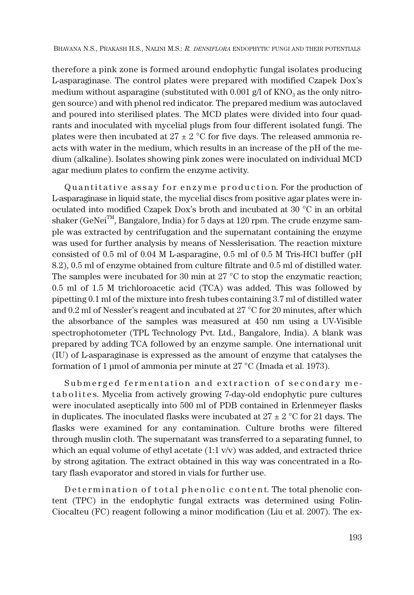therefore a pink zone is formed around endophytic fungal isolates producing L-asparaginase. The control plates were prepared with modified Czapek Dox's medium without asparagine (substituted with 0.001 g/l of  $\rm{KNO}_3$  as the only nitrogen source) and with phenol red indicator. The prepared medium was autoclaved and poured into sterilised plates. The MCD plates were divided into four quadrants and inoculated with mycelial plugs from four different isolated fungi. The plates were then incubated at  $27 \pm 2$  °C for five days. The released ammonia reacts with water in the medium, which results in an increase of the pH of the medium (alkaline). Isolates showing pink zones were inoculated on individual MCD agar medium plates to confirm the enzyme activity.

Quantitative assay for enzyme production. For the production of L-asparaginase in liquid state, the mycelial discs from positive agar plates were inoculated into modified Czapek Dox's broth and incubated at 30 °C in an orbital shaker (GeNei<sup>TM</sup>, Bangalore, India) for 5 days at 120 rpm. The crude enzyme sample was extracted by centrifugation and the supernatant containing the enzyme was used for further analysis by means of Nesslerisation. The reaction mixture consisted of 0.5 ml of 0.04 M L-asparagine, 0.5 ml of 0.5 M Tris-HCl buffer (pH 8.2), 0.5 ml of enzyme obtained from culture filtrate and 0.5 ml of distilled water. The samples were incubated for 30 min at  $27^{\circ}$ C to stop the enzymatic reaction; 0.5 ml of 1.5 M trichloroacetic acid (TCA) was added. This was followed by pipetting 0.1 ml of the mixture into fresh tubes containing 3.7 ml of distilled water and 0.2 ml of Nessler's reagent and incubated at 27 °C for 20 minutes, after which the absorbance of the samples was measured at 450 nm using a UV-Visible spectrophotometer (TPL Technology Pvt. Ltd., Bangalore, India). A blank was prepared by adding TCA followed by an enzyme sample. One international unit (IU) of L-asparaginase is expressed as the amount of enzyme that catalyses the formation of 1 μmol of ammonia per minute at 27 °C (Imada et al. 1973).

Submerged fermentation and extraction of secondary me t a bolites. Mycelia from actively growing 7-day-old endophytic pure cultures were inoculated aseptically into 500 ml of PDB contained in Erlenmeyer flasks in duplicates. The inoculated flasks were incubated at  $27 \pm 2$  °C for 21 days. The flasks were examined for any contamination. Culture broths were filtered through muslin cloth. The supernatant was transferred to a separating funnel, to which an equal volume of ethyl acetate  $(1:1 \text{ v/v})$  was added, and extracted thrice by strong agitation. The extract obtained in this way was concentrated in a Rotary flash evaporator and stored in vials for further use.

Determination of total phenolic content. The total phenolic content (TPC) in the endophytic fungal extracts was determined using Folin-Ciocalteu (FC) reagent following a minor modification (Liu et al. 2007). The ex-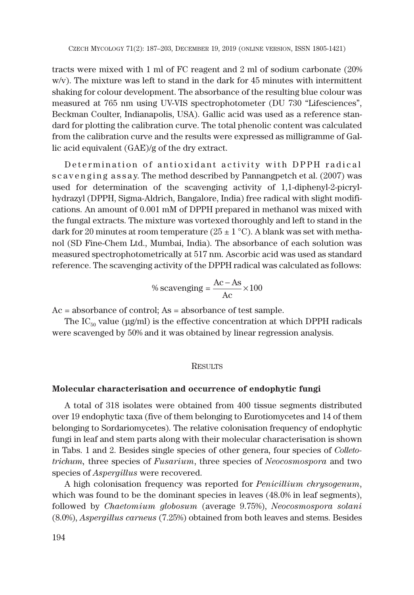tracts were mixed with 1 ml of FC reagent and 2 ml of sodium carbonate (20% w/v). The mixture was left to stand in the dark for 45 minutes with intermittent shaking for colour development. The absorbance of the resulting blue colour was measured at 765 nm using UV-VIS spectrophotometer (DU 730 "Lifesciences", Beckman Coulter, Indianapolis, USA). Gallic acid was used as a reference standard for plotting the calibration curve. The total phenolic content was calculated from the calibration curve and the results were expressed as milligramme of Gallic acid equivalent (GAE)/g of the dry extract.

Determination of antioxidant activity with DPPH radical s c a v e n g in g assay. The method described by Pannangpetch et al. (2007) was used for determination of the scavenging activity of 1,1-diphenyl-2-picrylhydrazyl (DPPH, Sigma-Aldrich, Bangalore, India) free radical with slight modifications. An amount of 0.001 mM of DPPH prepared in methanol was mixed with the fungal extracts. The mixture was vortexed thoroughly and left to stand in the dark for 20 minutes at room temperature (25  $\pm$  1 °C). A blank was set with methanol (SD Fine-Chem Ltd., Mumbai, India). The absorbance of each solution was measured spectrophotometrically at 517 nm. Ascorbic acid was used as standard reference. The scavenging activity of the DPPH radical was calculated as follows:

%scavenging = 
$$
\frac{Ac - As}{Ac} \times 100
$$

Ac = absorbance of control; As = absorbance of test sample.

The  $IC_{50}$  value (μg/ml) is the effective concentration at which DPPH radicals were scavenged by 50% and it was obtained by linear regression analysis.

### RESULTS

### **Molecular characterisation and occurrence of endophytic fungi**

A total of 318 isolates were obtained from 400 tissue segments distributed over 19 endophytic taxa (five of them belonging to Eurotiomycetes and 14 of them belonging to Sordariomycetes). The relative colonisation frequency of endophytic fungi in leaf and stem parts along with their molecular characterisation is shown in Tabs. 1 and 2. Besides single species of other genera, four species of *Colletotrichum,* three species of *Fusarium*, three species of *Neocosmospora* and two species of *Aspergillus* were recovered.

A high colonisation frequency was reported for *Penicillium chrysogenum*, which was found to be the dominant species in leaves (48.0% in leaf segments), followed by *Chaetomium globosum* (average 9.75%), *Neocosmospora solani* (8.0%), *Aspergillus carneus* (7.25%) obtained from both leaves and stems. Besides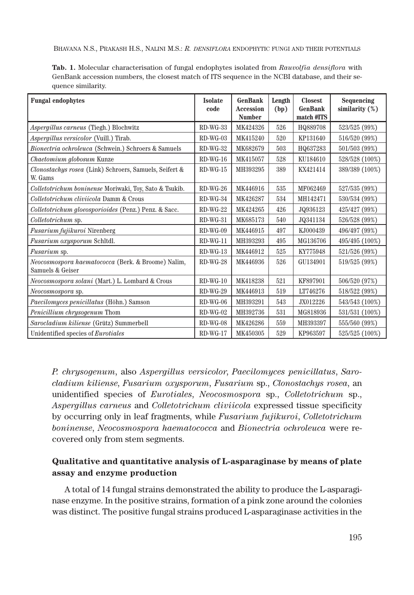| <b>Fungal endophytes</b>                                               | <b>Isolate</b><br>code | GenBank<br>Accession<br><b>Number</b> | Length<br>(bp) | <b>Closest</b><br><b>GenBank</b><br>match #ITS | Sequencing<br>similarity $(\%)$ |
|------------------------------------------------------------------------|------------------------|---------------------------------------|----------------|------------------------------------------------|---------------------------------|
| Aspergillus carneus (Tiegh.) Blochwitz                                 | $RD-WG-33$             | MK424326                              | 526            | HQ889708                                       | 523/525 (99%)                   |
| Aspergillus versicolor (Vuill.) Tirab.                                 | $RD-WG-03$             | MK415240                              | 520            | KP131640                                       | 516/520 (99%)                   |
| Bionectria ochroleuca (Schwein.) Schroers & Samuels                    | $RD-WG-32$             | MK682679                              | 503            | HQ637283                                       | 501/503 (99%)                   |
| Chaetomium globosum Kunze                                              | $RD-WG-16$             | MK415057                              | 528            | KU184610                                       | 528/528 (100%)                  |
| Clonostachys rosea (Link) Schroers, Samuels, Seifert &<br>W. Gams      | $RD-WG-15$             | MH393295                              | 389            | KX421414                                       | 389/389 (100%)                  |
| <i>Colletotrichum boninense Moriwaki, Toy, Sato &amp; Tsukib.</i>      | $RD-WG-26$             | MK446916                              | 535            | MF062469                                       | 527/535 (99%)                   |
| Colletotrichum cliviicola Damm & Crous                                 | $RD-WG-34$             | MK426287                              | 534            | MH142471                                       | 530/534 (99%)                   |
| Colletotrichum gloeosporioides (Penz.) Penz. & Sacc.                   | $RD-WG-22$             | MK424265                              | 426            | JQ936123                                       | 425/427 (99%)                   |
| Colletotrichum sp.                                                     | $RD-WG-31$             | MK685173                              | 540            | J0341134                                       | 526/528 (99%)                   |
| Fusarium fujikuroi Nirenberg                                           | $RD-WG-09$             | MK446915                              | 497            | KJ000439                                       | 496/497 (99%)                   |
| Fusarium oxysporum Schltdl.                                            | $RD-WG-11$             | MH393293                              | 495            | MG136706                                       | 495/495 (100%)                  |
| <i>Fusarium</i> sp.                                                    | $RD-WG-13$             | MK446912                              | 525            | KY775948                                       | 521/526 (99%)                   |
| Neocosmospora haematococca (Berk. & Broome) Nalim,<br>Samuels & Geiser | $RD-WG-28$             | MK446936                              | 526            | GU134901                                       | 519/525 (99%)                   |
| Neocosmospora solani (Mart.) L. Lombard & Crous                        | $RD-WG-10$             | MK418238                              | 521            | KF897901                                       | 506/520 (97%)                   |
| Neocosmospora sp.                                                      | $RD-WG-29$             | MK446913                              | 519            | LT746276                                       | 518/522 (99%)                   |
| Paecilomyces penicillatus (Höhn.) Samson                               | $RD-WG-06$             | MH393291                              | 543            | JX012226                                       | 543/543 (100%)                  |
| Penicillium chrysogenum Thom                                           | $RD-WG-02$             | MH392736                              | 531            | MG818936                                       | 531/531 (100%)                  |
| Sarocladium kiliense (Grütz) Summerbell                                | $RD-WG-08$             | MK426286                              | 559            | MH393397                                       | 555/560 (99%)                   |
| Unidentified species of <i>Eurotiales</i>                              | $RD-WG-17$             | MK450305                              | 529            | KP963597                                       | 525/525 (100%)                  |

**Tab. 1.** Molecular characterisation of fungal endophytes isolated from *Rauvolfia densiflora* with GenBank accession numbers, the closest match of ITS sequence in the NCBI database, and their sequence similarity.

*P. chrysogenum*, also *Aspergillus versicolor*, *Paecilomyces penicillatus*, *Sarocladium kiliense*, *Fusarium oxysporum*, *Fusarium* sp., *Clonostachys rosea*, an unidentified species of *Eurotiales*, *Neocosmospora* sp., *Colletotrichum* sp., *Aspergillus carneus* and *Colletotrichum cliviicola* expressed tissue specificity by occurring only in leaf fragments, while *Fusarium fujikuroi*, *Colletotrichum boninense*, *Neocosmospora haematococca* and *Bionectria ochroleuca* were recovered only from stem segments.

## **Qualitative and quantitative analysis of L-asparaginase by means of plate assay and enzyme production**

A total of 14 fungal strains demonstrated the ability to produce the L-asparaginase enzyme. In the positive strains, formation of a pink zone around the colonies was distinct. The positive fungal strains produced L-asparaginase activities in the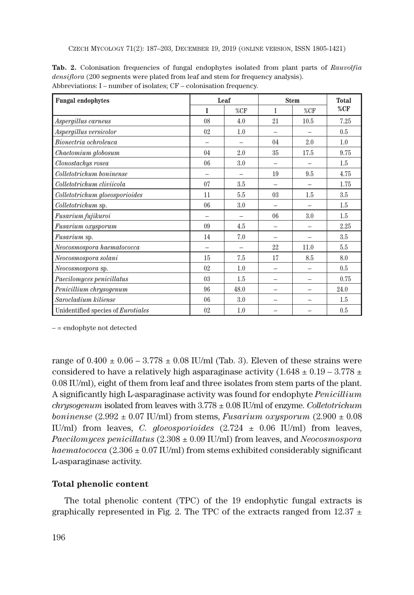CZECH MYCOLOGY 71(2): 187–203, DECEMBER 19, 2019 (ONLINE VERSION, ISSN 1805-1421)

| <b>Fungal endophytes</b>           |                | Leaf |         | <b>Stem</b>              |      |
|------------------------------------|----------------|------|---------|--------------------------|------|
|                                    | I              | %CF  | I       | %CF                      | %CF  |
| Aspergillus carneus                | 08             | 4.0  | 21      | 10.5                     | 7.25 |
| Aspergillus versicolor             | 0 <sup>2</sup> | 1.0  |         |                          | 0.5  |
| Bionectria ochroleuca              |                |      | 04      | 2.0                      | 1.0  |
| Chaetomium globosum                | 04             | 2.0  | 35      | 17.5                     | 9.75 |
| Clonostachys rosea                 | 06             | 3.0  |         |                          | 1.5  |
| Colletotrichum boninense           | -              |      | 19      | 9.5                      | 4.75 |
| Colletotrichum cliviicola          | 07             | 3.5  |         |                          | 1.75 |
| Colletotrichum gloeosporioides     | 11             | 5.5  | 03      | 1.5                      | 3.5  |
| Colletotrichum sp.                 | 06             | 3.0  |         |                          | 1.5  |
| Fusarium fujikuroi                 |                |      | 06      | 3.0                      | 1.5  |
| Fusarium oxysporum                 | 09             | 4.5  |         | -                        | 2.25 |
| <i>Fusarium</i> sp.                | 14             | 7.0  |         |                          | 3.5  |
| Neocosmospora haematococca         | -              |      | $^{22}$ | 11.0                     | 5.5  |
| Neocosmospora solani               | 15             | 7.5  | 17      | 8.5                      | 8.0  |
| Neocosmospora sp.                  | 0 <sup>2</sup> | 1.0  |         |                          | 0.5  |
| Paecilomyces penicillatus          | 03             | 1.5  |         |                          | 0.75 |
| Penicillium chrysogenum            | 96             | 48.0 | -       | $\overline{\phantom{0}}$ | 24.0 |
| Sarocladium kiliense               | 06             | 3.0  |         |                          | 1.5  |
| Unidentified species of Eurotiales | 02             | 1.0  |         |                          | 0.5  |

**Tab. 2.** Colonisation frequencies of fungal endophytes isolated from plant parts of *Rauvolfia densiflora* (200 segments were plated from leaf and stem for frequency analysis). Abbreviations: I – number of isolates; CF – colonisation frequency.

– = endophyte not detected

range of  $0.400 \pm 0.06 - 3.778 \pm 0.08$  IU/ml (Tab. 3). Eleven of these strains were considered to have a relatively high asparaginase activity (1.648  $\pm$  0.19 – 3.778  $\pm$ 0.08 IU/ml), eight of them from leaf and three isolates from stem parts of the plant. A significantly high L-asparaginase activity was found for endophyte *Penicillium chrysogenum* isolated from leaves with 3.778 ± 0.08 IU/ml of enzyme. *Colletotrichum boninense* (2.992 ± 0.07 IU/ml) from stems, *Fusarium oxysporum* (2.900 ± 0.08 IU/ml) from leaves, *C. gloeosporioides* (2.724 ± 0.06 IU/ml) from leaves, *Paecilomyces penicillatus* (2.308 ± 0.09 IU/ml) from leaves, and *Neocosmospora haematococca*  $(2.306 \pm 0.07 \text{ IU/ml})$  from stems exhibited considerably significant L-asparaginase activity.

## **Total phenolic content**

The total phenolic content (TPC) of the 19 endophytic fungal extracts is graphically represented in Fig. 2. The TPC of the extracts ranged from 12.37  $\pm$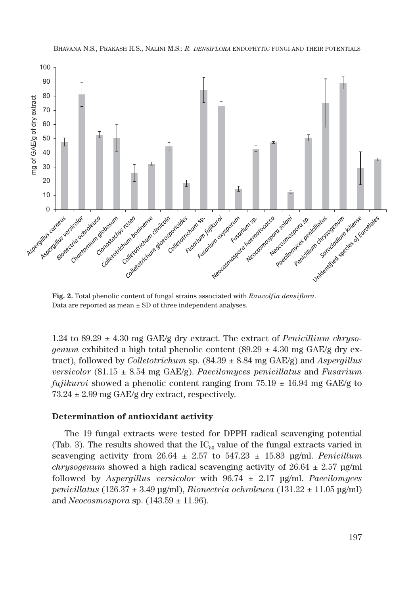

**Fig. 2.** Total phenolic content of fungal strains associated with *Rauvolfia densiflora*. Data are reported as mean  $\pm$  SD of three independent analyses.

1.24 to 89.29 ± 4.30 mg GAE/g dry extract. The extract of *Penicillium chrysogenum* exhibited a high total phenolic content (89.29  $\pm$  4.30 mg GAE/g dry extract), followed by *Colletotrichum* sp. (84.39 ± 8.84 mg GAE/g) and *Aspergillus versicolor* (81.15 ± 8.54 mg GAE/g). *Paecilomyces penicillatus* and *Fusarium fujikuroi* showed a phenolic content ranging from  $75.19 \pm 16.94$  mg GAE/g to  $73.24 \pm 2.99$  mg GAE/g dry extract, respectively.

### **Determination of antioxidant activity**

The 19 fungal extracts were tested for DPPH radical scavenging potential (Tab. 3). The results showed that the  $IC_{50}$  value of the fungal extracts varied in scavenging activity from  $26.64 \pm 2.57$  to  $547.23 \pm 15.83$  μg/ml. *Penicillum chrysogenum* showed a high radical scavenging activity of  $26.64 \pm 2.57$  μg/ml followed by *Aspergillus versicolor* with 96.74 ± 2.17 μg/ml. *Paecilomyces penicillatus* (126.37 ± 3.49 μg/ml), *Bionectria ochroleuca* (131.22 ± 11.05 μg/ml) and *Neocosmospora* sp. (143.59 ± 11.96).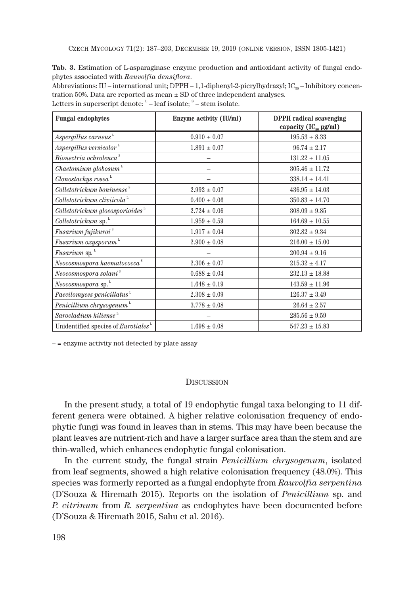CZECH MYCOLOGY 71(2): 187–203, DECEMBER 19, 2019 (ONLINE VERSION, ISSN 1805-1421)

**Tab. 3.** Estimation of L-asparaginase enzyme production and antioxidant activity of fungal endophytes associated with *Rauvolfia densiflora*.

Abbreviations: IU – international unit; DPPH – 1,1-diphenyl-2-picrylhydrazyl; IC<sub>50</sub> – Inhibitory concentration 50%. Data are reported as mean  $\pm$  SD of three independent analyses.

| <b>Fungal endophytes</b>                        | Enzyme activity (IU/ml) | <b>DPPH</b> radical scavenging<br>capacity $(IC_{\kappa_0} \mu g/ml)$ |
|-------------------------------------------------|-------------------------|-----------------------------------------------------------------------|
| Aspergillus carneus                             | $0.910 \pm 0.07$        | $195.53 \pm 8.33$                                                     |
| $A {\it s} pergillus ~versionor$ <sup>1</sup>   | $1.891 \pm 0.07$        | $96.74 \pm 2.17$                                                      |
| $\it Bionectria~ochroleuca~^s$                  |                         | $131.22 \pm 11.05$                                                    |
| $\emph{Chaetomium globosum}$ <sup>L</sup>       |                         | $305.46 \pm 11.72$                                                    |
| Clonostachys rosea <sup>L</sup>                 |                         | $338.14 \pm 14.41$                                                    |
| Colletotrichum boninense <sup>s</sup>           | $2.992 \pm 0.07$        | $436.95 \pm 14.03$                                                    |
| $Collectotrichum\,cliviicolaL$                  | $0.400 \pm 0.06$        | $350.83 \pm 14.70$                                                    |
| $Collectorichumgloeos porioidesL$               | $2.724 \pm 0.06$        | $308.09 \pm 9.85$                                                     |
| <i>Colletotrichum</i> sp.                       | $1.959 \pm 0.59$        | $164.69 \pm 10.55$                                                    |
| Fusarium fujikuroi $^{\mathrm{s}}$              | $1.917 \pm 0.04$        | $302.82 \pm 9.34$                                                     |
| Fusarium oxysporum                              | $2.900 \pm 0.08$        | $216.00 \pm 15.00$                                                    |
| Fusarium sp.                                    |                         | $200.94 \pm 9.16$                                                     |
| ${\it Neocosmospora}$ haematococca <sup>s</sup> | $2.306 \pm 0.07$        | $215.32 \pm 4.17$                                                     |
| Neocosmospora solani <sup>s</sup>               | $0.688 \pm 0.04$        | $232.13 \pm 18.88$                                                    |
| Neocosmospora sp.                               | $1.648 \pm 0.19$        | $143.59 \pm 11.96$                                                    |
| Paecilomyces penicillatus                       | $2.308 \pm 0.09$        | $126.37 \pm 3.49$                                                     |
| Penicillium chrysogenum                         | $3.778 \pm 0.08$        | $26.64 \pm 2.57$                                                      |
| $Sarocladium\ kiliense$ <sup>L</sup>            |                         | $285.56 \pm 9.59$                                                     |
| Unidentified species of Eurotiales              | $1.698 \pm 0.08$        | $547.23 \pm 15.83$                                                    |

Letters in superscript denote:  $L^L$  – leaf isolate;  $S$  – stem isolate.

– = enzyme activity not detected by plate assay

#### **DISCUSSION**

In the present study, a total of 19 endophytic fungal taxa belonging to 11 different genera were obtained. A higher relative colonisation frequency of endophytic fungi was found in leaves than in stems. This may have been because the plant leaves are nutrient-rich and have a larger surface area than the stem and are thin-walled, which enhances endophytic fungal colonisation.

In the current study, the fungal strain *Penicillium chrysogenum*, isolated from leaf segments, showed a high relative colonisation frequency (48.0%). This species was formerly reported as a fungal endophyte from *Rauvolfia serpentina* (D'Souza & Hiremath 2015). Reports on the isolation of *Penicillium* sp. and *P. citrinum* from *R. serpentina* as endophytes have been documented before (D'Souza & Hiremath 2015, Sahu et al. 2016).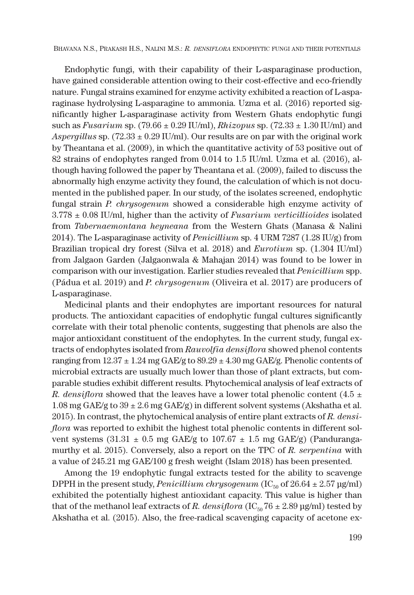Endophytic fungi, with their capability of their L-asparaginase production, have gained considerable attention owing to their cost-effective and eco-friendly nature. Fungal strains examined for enzyme activity exhibited a reaction of L-asparaginase hydrolysing L-asparagine to ammonia. Uzma et al. (2016) reported significantly higher L-asparaginase activity from Western Ghats endophytic fungi such as *Fusarium* sp. (79.66 ± 0.29 IU/ml), *Rhizopus* sp. (72.33 ± 1.30 IU/ml) and *Aspergillus* sp.  $(72.33 \pm 0.29 \text{ IU/ml})$ . Our results are on par with the original work by Theantana et al. (2009), in which the quantitative activity of 53 positive out of 82 strains of endophytes ranged from 0.014 to 1.5 IU/ml. Uzma et al. (2016), although having followed the paper by Theantana et al. (2009), failed to discuss the abnormally high enzyme activity they found, the calculation of which is not documented in the published paper. In our study, of the isolates screened, endophytic fungal strain *P. chrysogenum* showed a considerable high enzyme activity of 3.778 ± 0.08 IU/ml, higher than the activity of *Fusarium verticillioides* isolated from *Tabernaemontana heyneana* from the Western Ghats (Manasa & Nalini 2014). The L-asparaginase activity of *Penicillium* sp. 4 URM 7287 (1.28 IU/g) from Brazilian tropical dry forest (Silva et al. 2018) and *Eurotium* sp. (1.304 IU/ml) from Jalgaon Garden (Jalgaonwala & Mahajan 2014) was found to be lower in comparison with our investigation. Earlier studies revealed that *Penicillium* spp. (Pádua et al. 2019) and *P. chrysogenum* (Oliveira et al. 2017) are producers of L-asparaginase.

Medicinal plants and their endophytes are important resources for natural products. The antioxidant capacities of endophytic fungal cultures significantly correlate with their total phenolic contents, suggesting that phenols are also the major antioxidant constituent of the endophytes. In the current study, fungal extracts of endophytes isolated from *Rauvolfia densiflora* showed phenol contents ranging from  $12.37 \pm 1.24$  mg GAE/g to  $89.29 \pm 4.30$  mg GAE/g. Phenolic contents of microbial extracts are usually much lower than those of plant extracts, but comparable studies exhibit different results. Phytochemical analysis of leaf extracts of *R. densiflora* showed that the leaves have a lower total phenolic content (4.5  $\pm$ 1.08 mg GAE/g to  $39 \pm 2.6$  mg GAE/g) in different solvent systems (Akshatha et al. 2015). In contrast, the phytochemical analysis of entire plant extracts of *R. densiflora* was reported to exhibit the highest total phenolic contents in different solvent systems (31.31  $\pm$  0.5 mg GAE/g to 107.67  $\pm$  1.5 mg GAE/g) (Pandurangamurthy et al. 2015). Conversely, also a report on the TPC of *R. serpentina* with a value of 245.21 mg GAE/100 g fresh weight (Islam 2018) has been presented.

Among the 19 endophytic fungal extracts tested for the ability to scavenge DPPH in the present study, *Penicillium chrysogenum* ( $IC_{50}$  of  $26.64 \pm 2.57$  μg/ml) exhibited the potentially highest antioxidant capacity. This value is higher than that of the methanol leaf extracts of *R. densiflora* (IC<sub>50</sub>76  $\pm$  2.89 μg/ml) tested by Akshatha et al. (2015). Also, the free-radical scavenging capacity of acetone ex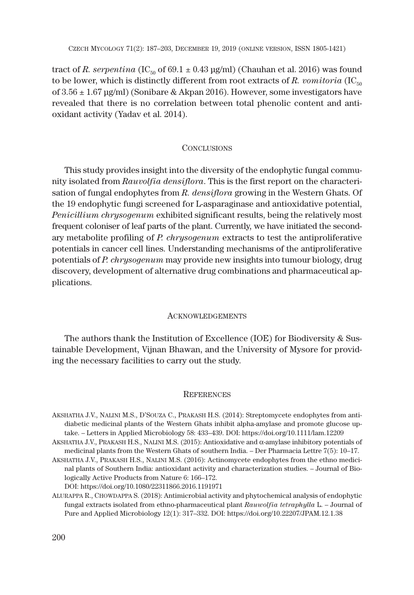tract of *R. serpentina* (IC<sub>50</sub> of 69.1  $\pm$  0.43 μg/ml) (Chauhan et al. 2016) was found to be lower, which is distinctly different from root extracts of  $R$ . *vomitoria* (IC<sub>50</sub>) of 3.56 ± 1.67 μg/ml) (Sonibare & Akpan 2016). However, some investigators have revealed that there is no correlation between total phenolic content and antioxidant activity (Yadav et al. 2014).

### **CONCLUSIONS**

This study provides insight into the diversity of the endophytic fungal community isolated from *Rauvolfia densiflora*. This is the first report on the characterisation of fungal endophytes from *R. densiflora* growing in the Western Ghats. Of the 19 endophytic fungi screened for L-asparaginase and antioxidative potential, *Penicillium chrysogenum* exhibited significant results, being the relatively most frequent coloniser of leaf parts of the plant. Currently, we have initiated the secondary metabolite profiling of *P. chrysogenum* extracts to test the antiproliferative potentials in cancer cell lines. Understanding mechanisms of the antiproliferative potentials of *P. chrysogenum* may provide new insights into tumour biology, drug discovery, development of alternative drug combinations and pharmaceutical applications.

### ACKNOWLEDGEMENTS

The authors thank the Institution of Excellence (IOE) for Biodiversity & Sustainable Development, Vijnan Bhawan, and the University of Mysore for providing the necessary facilities to carry out the study.

#### **REFERENCES**

AKSHATHA J.V., NALINI M.S., D'SOUZA C., PRAKASH H.S. (2014): Streptomycete endophytes from antidiabetic medicinal plants of the Western Ghats inhibit alpha-amylase and promote glucose uptake. – Letters in Applied Microbiology 58: 433–439. DOI: https://doi.org/10.1111/lam.12209

AKSHATHA J.V., PRAKASH H.S., NALINI M.S. (2015): Antioxidative and  $\alpha$ -amylase inhibitory potentials of medicinal plants from the Western Ghats of southern India. – Der Pharmacia Lettre 7(5): 10–17.

AKSHATHA J.V., PRAKASH H.S., NALINI M.S. (2016): Actinomycete endophytes from the ethno medicinal plants of Southern India: antioxidant activity and characterization studies. – Journal of Biologically Active Products from Nature 6: 166–172. DOI: https://doi.org/10.1080/22311866.2016.1191971

ALURAPPA R., CHOWDAPPA S. (2018): Antimicrobial activity and phytochemical analysis of endophytic fungal extracts isolated from ethno-pharmaceutical plant *Rauwolfia tetraphylla* L. – Journal of Pure and Applied Microbiology 12(1): 317–332. DOI: https://doi.org/10.22207/JPAM.12.1.38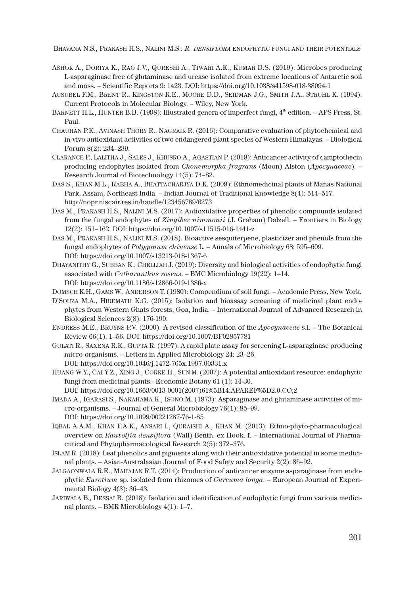- ASHOK A., DORIYA K., RAO J.V., QURESHI A., TIWARI A.K., KUMAR D.S. (2019): Microbes producing L-asparaginase free of glutaminase and urease isolated from extreme locations of Antarctic soil and moss. – Scientific Reports 9: 1423. DOI: https://doi.org/10.1038/s41598-018-38094-1
- AUSUBEL F.M., BRENT R., KINGSTON R.E., MOORE D.D., SEIDMAN J.G., SMITH J.A., STRUHL K. (1994): Current Protocols in Molecular Biology. – Wiley, New York.
- BARNETT H.L., HUNTER B.B. (1998): Illustrated genera of imperfect fungi, 4<sup>th</sup> edition. APS Press, St. Paul.
- CHAUHAN P.K., AVINASH THORY R., NAGRAIK R. (2016): Comparative evaluation of phytochemical and in-vivo antioxidant activities of two endangered plant species of Western Himalayas. – Biological Forum 8(2): 234–239.
- CLARANCE P., LALITHA J., SALES J., KHUSRO A., AGASTIAN P. (2019): Anticancer activity of camptothecin producing endophytes isolated from *Chonemorpha fragrans* (Moon) Alston (*Apocynaceae*). – Research Journal of Biotechnology 14(5): 74–82.
- DAS S., KHAN M.L., RABHA A., BHATTACHARJYA D.K. (2009): Ethnomedicinal plants of Manas National Park, Assam, Northeast India. – Indian Journal of Traditional Knowledge 8(4): 514–517. http://nopr.niscair.res.in/handle/123456789/6273
- DAS M., PRAKASH H.S., NALINI M.S. (2017): Antioxidative properties of phenolic compounds isolated from the fungal endophytes of *Zingiber nimmonii* (J. Graham) Dalzell. – Frontiers in Biology 12(2): 151–162. DOI: https://doi.org/10.1007/s11515-016-1441-z
- DAS M., PRAKASH H.S., NALINI M.S. (2018). Bioactive sesquiterpene, plasticizer and phenols from the fungal endophytes of *Polygonum chinense* L. – Annals of Microbiology 68: 595–609. DOI: https://doi.org/10.1007/s13213-018-1367-6
- DHAYANITHY G., SUBBAN K., CHELLIAH J. (2019): Diversity and biological activities of endophytic fungi associated with *Catharanthus roseus*. – BMC Microbiology 19(22): 1–14. DOI: https://doi.org/10.1186/s12866-019-1386-x
- DOMSCH K.H., GAMS W., ANDERSON T. (1980): Compendium of soil fungi. Academic Press, New York.
- D'SOUZA M.A., HIREMATH K.G. (2015): Isolation and bioassay screening of medicinal plant endophytes from Western Ghats forests, Goa, India. – International Journal of Advanced Research in Biological Sciences 2(8): 176-190.
- ENDRESS M.E., BRUYNS P.V. (2000). A revised classification of the *Apocynaceae* s.l. The Botanical Review 66(1): 1–56. DOI: https://doi.org/10.1007/BF02857781
- GULATI R., SAXENA R.K., GUPTA R. (1997): A rapid plate assay for screening L-asparaginase producing micro-organisms. – Letters in Applied Microbiology 24: 23–26. DOI: https://doi.org/10.1046/j.1472-765x.1997.00331.x
- HUANG W.Y., CAI Y.Z., XING J., CORKE H., SUN M. (2007): A potential antioxidant resource: endophytic fungi from medicinal plants.- Economic Botany 61 (1): 14-30.
	- DOI: https://doi.org/10.1663/0013-0001(2007)61%5B14:APAREF%5D2.0.CO;2
- IMADA A., IGARASI S., NAKAHAMA K., ISONO M. (1973): Asparaginase and glutaminase activities of micro-organisms. – Journal of General Microbiology 76(1): 85–99. DOI: https://doi.org/10.1099/00221287-76-1-85
- IQBAL A.A.M., KHAN F.A.K., ANSARI I., QURAISHI A., KHAN M. (2013): Ethno-phyto-pharmacological overview on *Rauvolfia densiflora* (Wall) Benth. ex Hook. f. – International Journal of Pharmacutical and Phytopharmacological Research 2(5): 372–376.
- ISLAM R. (2018): Leaf phenolics and pigments along with their antioxidative potential in some medicinal plants. – Asian-Australasian Journal of Food Safety and Security 2(2): 86–92.
- JALGAONWALA R.E., MAHAJAN R.T. (2014): Production of anticancer enzyme asparaginase from endophytic *Eurotium* sp. isolated from rhizomes of *Curcuma longa*. – European Journal of Experimental Biology 4(3): 36–43.
- JARIWALA B., DESSAI B. (2018): Isolation and identification of endophytic fungi from various medicinal plants. – BMR Microbiology 4(1): 1–7.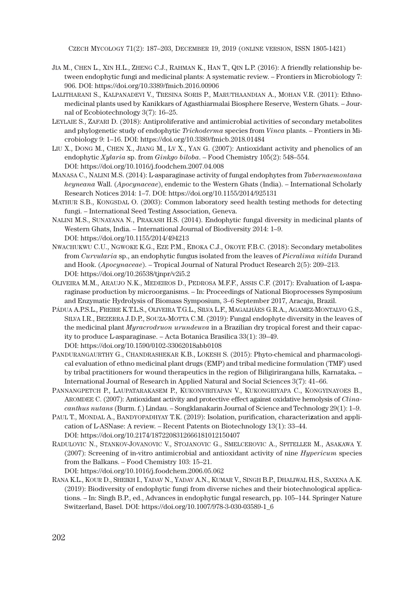CZECH MYCOLOGY 71(2): 187–203, DECEMBER 19, 2019 (ONLINE VERSION, ISSN 1805-1421)

- JIA M., CHEN L., XIN H.L., ZHENG C.J., RAHMAN K., HAN T., QIN L.P. (2016): A friendly relationship between endophytic fungi and medicinal plants: A systematic review. – Frontiers in Microbiology 7: 906. DOI: https://doi.org/10.3389/fmicb.2016.00906
- LALITHARANI S., KALPANADEVI V., TRESINA SORIS P., MARUTHAANDIAN A., MOHAN V.R. (2011): Ethnomedicinal plants used by Kanikkars of Agasthiarmalai Biosphere Reserve, Western Ghats. – Journal of Ecobiotechnology 3(7): 16–25.
- LEYLAIE S., ZAFARI D. (2018): Antiproliferative and antimicrobial activities of secondary metabolites and phylogenetic study of endophytic *Trichoderma* species from *Vinca* plants. – Frontiers in Microbiology 9: 1–16. DOI: https://doi.org/10.3389/fmicb.2018.01484
- LIU X., DONG M., CHEN X., JIANG M., LV X., YAN G. (2007): Antioxidant activity and phenolics of an endophytic *Xylaria* sp. from *Ginkgo biloba*. – Food Chemistry 105(2): 548–554. DOI: https://doi.org/10.1016/j.foodchem.2007.04.008
- MANASA C., NALINI M.S. (2014): L-asparaginase activity of fungal endophytes from *Tabernaemontana heyneana* Wall. (*Apocynaceae*), endemic to the Western Ghats (India). – International Scholarly Research Notices 2014: 1–7. DOI: https://doi.org/10.1155/2014/925131
- MATHUR S.B., KONGSDAL O. (2003): Common laboratory seed health testing methods for detecting fungi. – International Seed Testing Association, Geneva.
- NALINI M.S., SUNAYANA N., PRAKASH H.S. (2014). Endophytic fungal diversity in medicinal plants of Western Ghats, India. – International Journal of Biodiversity 2014: 1–9. DOI: https://doi.org/10.1155/2014/494213
- NWACHUKWU C.U., NGWOKE K.G., EZE P.M., EBOKA C.J., OKOYE F.B.C. (2018): Secondary metabolites from *Curvularia* sp., an endophytic fungus isolated from the leaves of *Picralima nitida* Durand and Hook. (*Apocynaceae*). – Tropical Journal of Natural Product Research 2(5): 209–213. DOI: https://doi.org/10.26538/tjnpr/v2i5.2
- OLIVEIRA M.M., ARAUJO N.K., MEDEIROS D., PEDROSA M.F.F., ASSIS C.F. (2017): Evaluation of L-asparaginase production by microorganisms. – In: Proceedings of National Bioprocesses Symposium and Enzymatic Hydrolysis of Biomass Symposium, 3–6 September 2017, Aracaju, Brazil.
- PÁDUA A.P.S.L., FREIRE K.T.L.S., OLIVEIRA T.G.L., SILVA L.F., MAGALHĂES G.R.A., AGAMEZ-MONTALVO G.S., SILVA I.R., BEZERRA J.D.P., SOUZA-MOTTA C.M. (2019): Fungal endophyte diversity in the leaves of the medicinal plant *Myracrodruon urundeuva* in a Brazilian dry tropical forest and their capacity to produce L-asparaginase. – Acta Botanica Brasilica 33(1): 39–49. DOI: https://doi.org/10.1590/0102-33062018abb0108
- PANDURANGAURTHY G., CHANDRASHEKAR K.B., LOKESH S. (2015): Phyto-chemical and pharmacological evaluation of ethno medicinal plant drugs (EMP) and tribal medicine formulation (TMF) used by tribal practitioners for wound therapeutics in the region of Biligirirangana hills, Karnataka**.** – International Journal of Research in Applied Natural and Social Sciences 3(7): 41–66.
- PANNANGPETCH P., LAUPATARAKASEM P., KUKONVIRIYAPAN V., KUKONGRIYAPA C., KONGYINAYOES B., AROMDEE C. (2007): Antioxidant activity and protective effect against oxidative hemolysis of *Clinacanthus nutans* (Burm. f.) Lindau. – Songklanakarin Journal of Science and Technology 29(1): 1–9.
- PAUL T., MONDAL A., BANDYOPADHYAY T.K. (2019): Isolation, purification, characteri**z**ation and application of L-ASNase: A review. – Recent Patents on Biotechnology 13(1): 33–44. DOI: https://doi.org/10.2174/1872208312666181012150407
- RADULOVIC N., STANKOV-JOVANOVIC V., STOJANOVIC G., SMELCEROVIC A., SPITELLER M., ASAKAWA Y. (2007): Screening of in-vitro antimicrobial and antioxidant activity of nine *Hypericum* species from the Balkans. – Food Chemistry 103: 15–21.

DOI: https://doi.org/10.1016/j.foodchem.2006.05.062

RANA K.L., KOUR D., SHEIKH I., YADAV N., YADAV A.N., KUMAR V., SINGH B.P., DHALIWAL H.S., SAXENA A.K. (2019): Biodiversity of endophytic fungi from diverse niches and their biotechnological applications. – In: Singh B.P., ed., Advances in endophytic fungal research, pp. 105–144. Springer Nature Switzerland, Basel. DOI: https://doi.org/10.1007/978-3-030-03589-1\_6